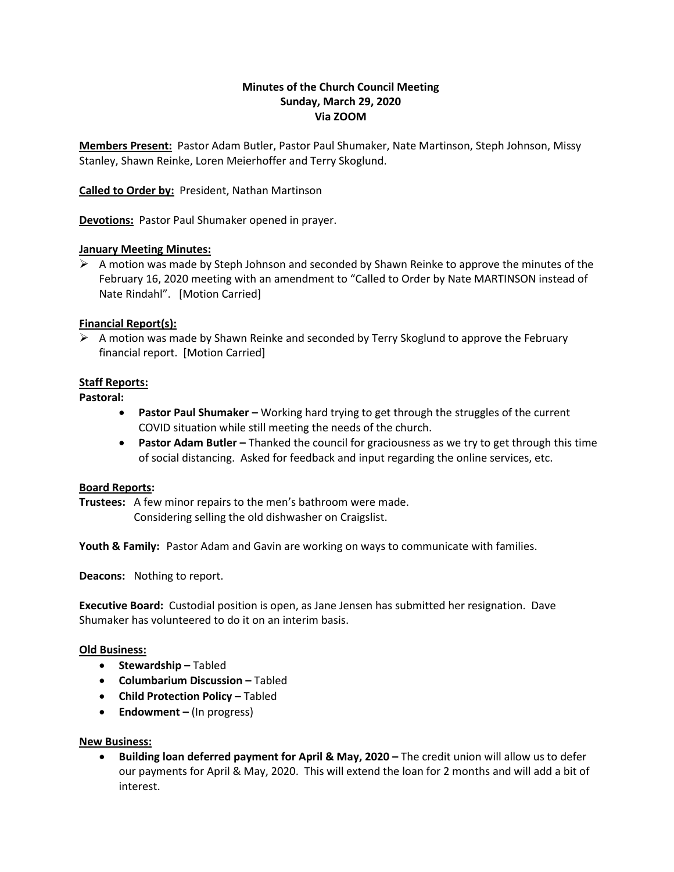# **Minutes of the Church Council Meeting Sunday, March 29, 2020 Via ZOOM**

**Members Present:** Pastor Adam Butler, Pastor Paul Shumaker, Nate Martinson, Steph Johnson, Missy Stanley, Shawn Reinke, Loren Meierhoffer and Terry Skoglund.

**Called to Order by:** President, Nathan Martinson

**Devotions:** Pastor Paul Shumaker opened in prayer.

### **January Meeting Minutes:**

 $\triangleright$  A motion was made by Steph Johnson and seconded by Shawn Reinke to approve the minutes of the February 16, 2020 meeting with an amendment to "Called to Order by Nate MARTINSON instead of Nate Rindahl". [Motion Carried]

### **Financial Report(s):**

 $\triangleright$  A motion was made by Shawn Reinke and seconded by Terry Skoglund to approve the February financial report. [Motion Carried]

## **Staff Reports:**

#### **Pastoral:**

- **Pastor Paul Shumaker –** Working hard trying to get through the struggles of the current COVID situation while still meeting the needs of the church.
- **Pastor Adam Butler –** Thanked the council for graciousness as we try to get through this time of social distancing. Asked for feedback and input regarding the online services, etc.

#### **Board Reports:**

**Trustees:** A few minor repairs to the men's bathroom were made. Considering selling the old dishwasher on Craigslist.

**Youth & Family:** Pastor Adam and Gavin are working on ways to communicate with families.

**Deacons:** Nothing to report.

**Executive Board:** Custodial position is open, as Jane Jensen has submitted her resignation. Dave Shumaker has volunteered to do it on an interim basis.

#### **Old Business:**

- **Stewardship –** Tabled
- **Columbarium Discussion –** Tabled
- **Child Protection Policy Tabled**
- **Endowment –** (In progress)

## **New Business:**

• **Building loan deferred payment for April & May, 2020 –** The credit union will allow us to defer our payments for April & May, 2020. This will extend the loan for 2 months and will add a bit of interest.